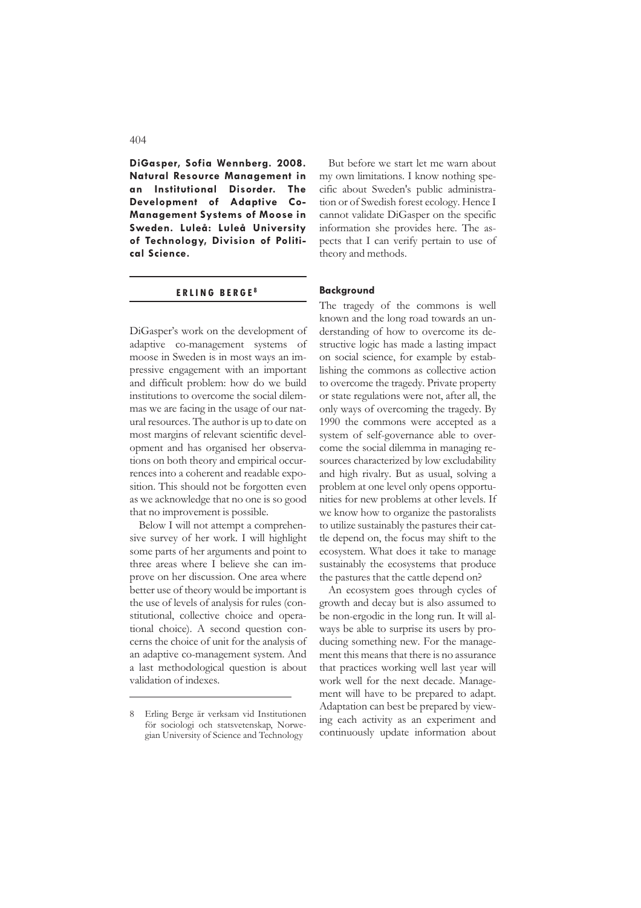**DiGasper, Sofia Wennberg. 2008. Natural Resource Management in an Institutional Disorder. The Development of Adaptive Co-Management Systems of Moose in Sweden. Luleå: Luleå University of Technology, Division of Political Science.**

#### **E R L I N G B E R G E <sup>8</sup>**

DiGasper's work on the development of adaptive co-management systems of moose in Sweden is in most ways an impressive engagement with an important and difficult problem: how do we build institutions to overcome the social dilemmas we are facing in the usage of our natural resources. The author is up to date on most margins of relevant scientific development and has organised her observations on both theory and empirical occurrences into a coherent and readable exposition. This should not be forgotten even as we acknowledge that no one is so good that no improvement is possible.

Below I will not attempt a comprehensive survey of her work. I will highlight some parts of her arguments and point to three areas where I believe she can improve on her discussion. One area where better use of theory would be important is the use of levels of analysis for rules (constitutional, collective choice and operational choice). A second question concerns the choice of unit for the analysis of an adaptive co-management system. And a last methodological question is about validation of indexes.

But before we start let me warn about my own limitations. I know nothing specific about Sweden's public administration or of Swedish forest ecology. Hence I cannot validate DiGasper on the specific information she provides here. The aspects that I can verify pertain to use of theory and methods.

#### **Background**

The tragedy of the commons is well known and the long road towards an understanding of how to overcome its destructive logic has made a lasting impact on social science, for example by establishing the commons as collective action to overcome the tragedy. Private property or state regulations were not, after all, the only ways of overcoming the tragedy. By 1990 the commons were accepted as a system of self-governance able to overcome the social dilemma in managing resources characterized by low excludability and high rivalry. But as usual, solving a problem at one level only opens opportunities for new problems at other levels. If we know how to organize the pastoralists to utilize sustainably the pastures their cattle depend on, the focus may shift to the ecosystem. What does it take to manage sustainably the ecosystems that produce the pastures that the cattle depend on?

An ecosystem goes through cycles of growth and decay but is also assumed to be non-ergodic in the long run. It will always be able to surprise its users by producing something new. For the management this means that there is no assurance that practices working well last year will work well for the next decade. Management will have to be prepared to adapt. Adaptation can best be prepared by viewing each activity as an experiment and continuously update information about

<sup>8</sup> Erling Berge är verksam vid Institutionen för sociologi och statsvetenskap, Norwegian University of Science and Technology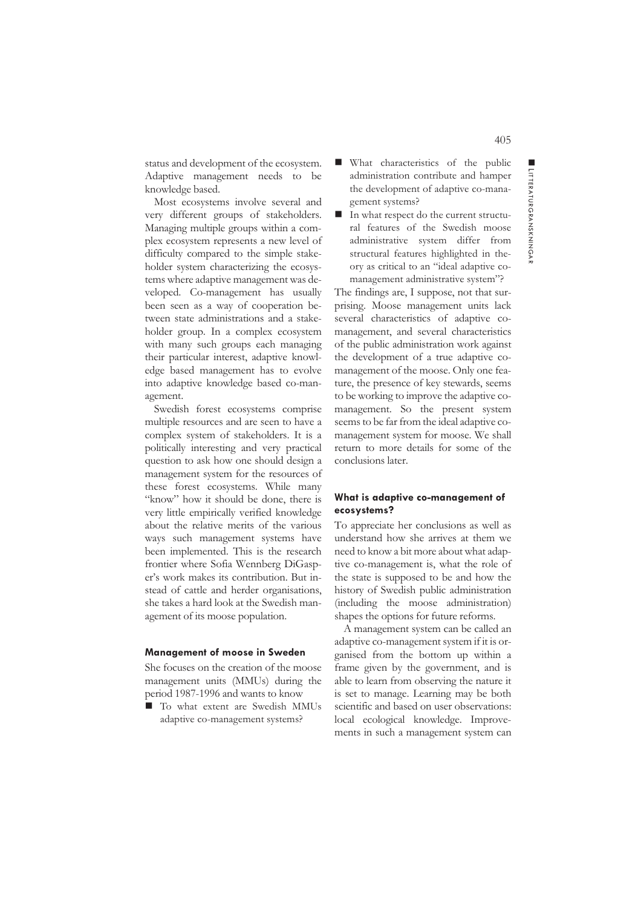status and development of the ecosystem. Adaptive management needs to be knowledge based.

Most ecosystems involve several and very different groups of stakeholders. Managing multiple groups within a complex ecosystem represents a new level of difficulty compared to the simple stakeholder system characterizing the ecosystems where adaptive management was developed. Co-management has usually been seen as a way of cooperation between state administrations and a stakeholder group. In a complex ecosystem with many such groups each managing their particular interest, adaptive knowledge based management has to evolve into adaptive knowledge based co-management.

Swedish forest ecosystems comprise multiple resources and are seen to have a complex system of stakeholders. It is a politically interesting and very practical question to ask how one should design a management system for the resources of these forest ecosystems. While many "know" how it should be done, there is very little empirically verified knowledge about the relative merits of the various ways such management systems have been implemented. This is the research frontier where Sofia Wennberg DiGasper's work makes its contribution. But instead of cattle and herder organisations, she takes a hard look at the Swedish management of its moose population.

#### **Management of moose in Sweden**

She focuses on the creation of the moose management units (MMUs) during the period 1987-1996 and wants to know

■ To what extent are Swedish MMUs adaptive co-management systems?

- What characteristics of the public administration contribute and hamper the development of adaptive co-management systems?
- In what respect do the current structural features of the Swedish moose administrative system differ from structural features highlighted in theory as critical to an "ideal adaptive comanagement administrative system"?

The findings are, I suppose, not that surprising. Moose management units lack several characteristics of adaptive comanagement, and several characteristics of the public administration work against the development of a true adaptive comanagement of the moose. Only one feature, the presence of key stewards, seems to be working to improve the adaptive comanagement. So the present system seems to be far from the ideal adaptive comanagement system for moose. We shall return to more details for some of the conclusions later.

#### **What is adaptive co-management of ecosystems?**

To appreciate her conclusions as well as understand how she arrives at them we need to know a bit more about what adaptive co-management is, what the role of the state is supposed to be and how the history of Swedish public administration (including the moose administration) shapes the options for future reforms.

A management system can be called an adaptive co-management system if it is organised from the bottom up within a frame given by the government, and is able to learn from observing the nature it is set to manage. Learning may be both scientific and based on user observations: local ecological knowledge. Improvements in such a management system can ■ LITTERATU

RGRAN SKNINGA

 $\overline{z}$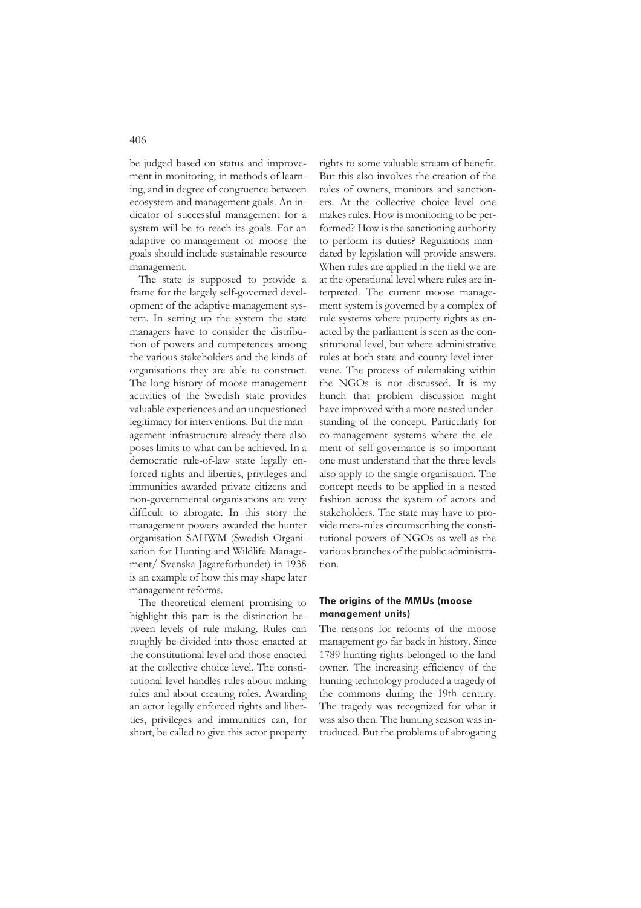be judged based on status and improvement in monitoring, in methods of learning, and in degree of congruence between ecosystem and management goals. An indicator of successful management for a system will be to reach its goals. For an adaptive co-management of moose the goals should include sustainable resource management.

The state is supposed to provide a frame for the largely self-governed development of the adaptive management system. In setting up the system the state managers have to consider the distribution of powers and competences among the various stakeholders and the kinds of organisations they are able to construct. The long history of moose management activities of the Swedish state provides valuable experiences and an unquestioned legitimacy for interventions. But the management infrastructure already there also poses limits to what can be achieved. In a democratic rule-of-law state legally enforced rights and liberties, privileges and immunities awarded private citizens and non-governmental organisations are very difficult to abrogate. In this story the management powers awarded the hunter organisation SAHWM (Swedish Organisation for Hunting and Wildlife Management/ Svenska Jägareförbundet) in 1938 is an example of how this may shape later management reforms.

The theoretical element promising to highlight this part is the distinction between levels of rule making. Rules can roughly be divided into those enacted at the constitutional level and those enacted at the collective choice level. The constitutional level handles rules about making rules and about creating roles. Awarding an actor legally enforced rights and liberties, privileges and immunities can, for short, be called to give this actor property

rights to some valuable stream of benefit. But this also involves the creation of the roles of owners, monitors and sanctioners. At the collective choice level one makes rules. How is monitoring to be performed? How is the sanctioning authority to perform its duties? Regulations mandated by legislation will provide answers. When rules are applied in the field we are at the operational level where rules are interpreted. The current moose management system is governed by a complex of rule systems where property rights as enacted by the parliament is seen as the constitutional level, but where administrative rules at both state and county level intervene. The process of rulemaking within the NGOs is not discussed. It is my hunch that problem discussion might have improved with a more nested understanding of the concept. Particularly for co-management systems where the element of self-governance is so important one must understand that the three levels also apply to the single organisation. The concept needs to be applied in a nested fashion across the system of actors and stakeholders. The state may have to provide meta-rules circumscribing the constitutional powers of NGOs as well as the various branches of the public administration.

#### **The origins of the MMUs (moose management units)**

The reasons for reforms of the moose management go far back in history. Since 1789 hunting rights belonged to the land owner. The increasing efficiency of the hunting technology produced a tragedy of the commons during the 19th century. The tragedy was recognized for what it was also then. The hunting season was introduced. But the problems of abrogating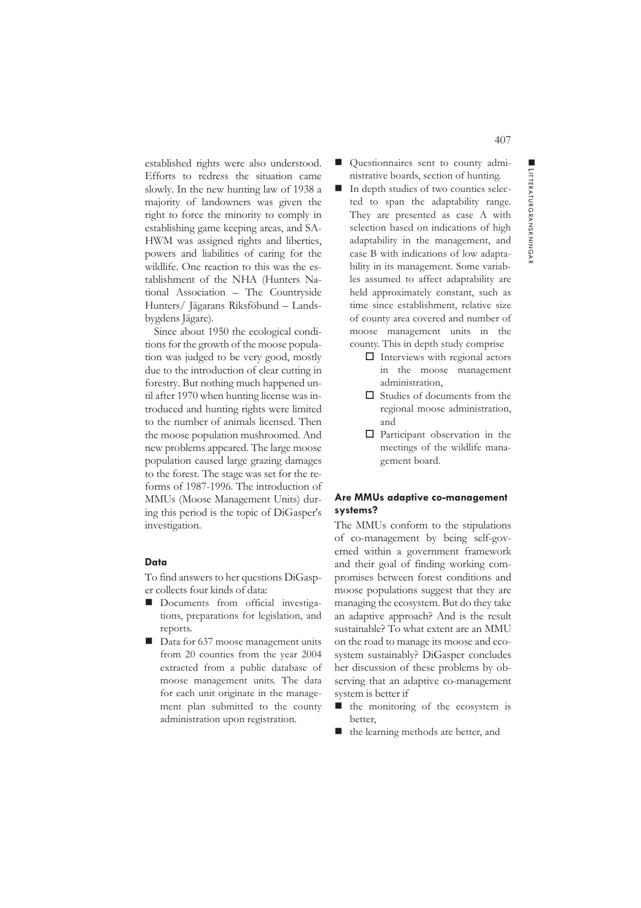$\overline{z}$ 

407

established rights were also understood. Efforts to redress the situation came slowly. In the new hunting law of 1938 a majority of landowners was given the right to force the minority to comply in establishing game keeping areas, and SA-HWM was assigned rights and liberties, powers and liabilities of caring for the wildlife. One reaction to this was the establishment of the NHA (Hunters National Association – The Countryside Hunters/ Jägarans Riksföbund – Landsbygdens Jägare).

Since about 1950 the ecological conditions for the growth of the moose population was judged to be very good, mostly due to the introduction of clear cutting in forestry. But nothing much happened until after 1970 when hunting license was introduced and hunting rights were limited to the number of animals licensed. Then the moose population mushroomed. And new problems appeared. The large moose population caused large grazing damages to the forest. The stage was set for the reforms of 1987-1996. The introduction of MMUs (Moose Management Units) during this period is the topic of DiGasper's investigation.

### **Data**

To find answers to her questions DiGasper collects four kinds of data:

- Documents from official investigations, preparations for legislation, and reports.
- Data for 637 moose management units from 20 counties from the year 2004 extracted from a public database of moose management units. The data for each unit originate in the management plan submitted to the county administration upon registration.
- Questionnaires sent to county administrative boards, section of hunting.
- In depth studies of two counties selected to span the adaptability range. They are presented as case A with selection based on indications of high adaptability in the management, and case B with indications of low adaptability in its management. Some variables assumed to affect adaptability are held approximately constant, such as time since establishment, relative size of county area covered and number of moose management units in the county. This in depth study comprise
	- $\Box$  Interviews with regional actors in the moose management administration,
	- $\Box$  Studies of documents from the regional moose administration, and
	- $\Box$  Participant observation in the meetings of the wildlife management board.

## **Are MMUs adaptive co-management systems?**

The MMUs conform to the stipulations of co-management by being self-governed within a government framework and their goal of finding working compromises between forest conditions and moose populations suggest that they are managing the ecosystem. But do they take an adaptive approach? And is the result sustainable? To what extent are an MMU on the road to manage its moose and ecosystem sustainably? DiGasper concludes her discussion of these problems by observing that an adaptive co-management system is better if

- $\blacksquare$  the monitoring of the ecosystem is better,
- the learning methods are better, and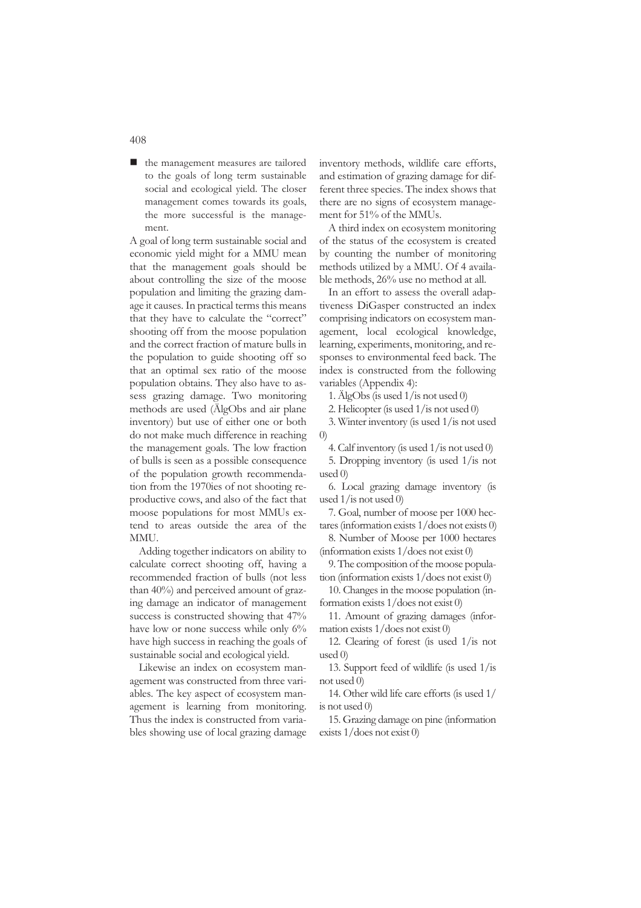■ the management measures are tailored to the goals of long term sustainable social and ecological yield. The closer management comes towards its goals, the more successful is the management.

A goal of long term sustainable social and economic yield might for a MMU mean that the management goals should be about controlling the size of the moose population and limiting the grazing damage it causes. In practical terms this means that they have to calculate the "correct" shooting off from the moose population and the correct fraction of mature bulls in the population to guide shooting off so that an optimal sex ratio of the moose population obtains. They also have to assess grazing damage. Two monitoring methods are used (ÄlgObs and air plane inventory) but use of either one or both do not make much difference in reaching the management goals. The low fraction of bulls is seen as a possible consequence of the population growth recommendation from the 1970ies of not shooting reproductive cows, and also of the fact that moose populations for most MMUs extend to areas outside the area of the **MMU** 

Adding together indicators on ability to calculate correct shooting off, having a recommended fraction of bulls (not less than 40%) and perceived amount of grazing damage an indicator of management success is constructed showing that 47% have low or none success while only 6% have high success in reaching the goals of sustainable social and ecological yield.

Likewise an index on ecosystem management was constructed from three variables. The key aspect of ecosystem management is learning from monitoring. Thus the index is constructed from variables showing use of local grazing damage inventory methods, wildlife care efforts, and estimation of grazing damage for different three species. The index shows that there are no signs of ecosystem management for 51% of the MMUs.

A third index on ecosystem monitoring of the status of the ecosystem is created by counting the number of monitoring methods utilized by a MMU. Of 4 available methods, 26% use no method at all.

In an effort to assess the overall adaptiveness DiGasper constructed an index comprising indicators on ecosystem management, local ecological knowledge, learning, experiments, monitoring, and responses to environmental feed back. The index is constructed from the following variables (Appendix 4):

1. ÄlgObs (is used 1/is not used 0)

2. Helicopter (is used 1/is not used 0)

3. Winter inventory (is used 1/is not used 0)

4. Calf inventory (is used 1/is not used 0)

5. Dropping inventory (is used 1/is not used 0)

6. Local grazing damage inventory (is used 1/is not used 0)

7. Goal, number of moose per 1000 hectares (information exists 1/does not exists 0)

8. Number of Moose per 1000 hectares (information exists 1/does not exist 0)

9. The composition of the moose population (information exists 1/does not exist 0)

10. Changes in the moose population (information exists 1/does not exist 0)

11. Amount of grazing damages (information exists 1/does not exist 0)

12. Clearing of forest (is used 1/is not used 0)

13. Support feed of wildlife (is used 1/is not used 0)

14. Other wild life care efforts (is used 1/ is not used 0)

15. Grazing damage on pine (information exists 1/does not exist 0)

408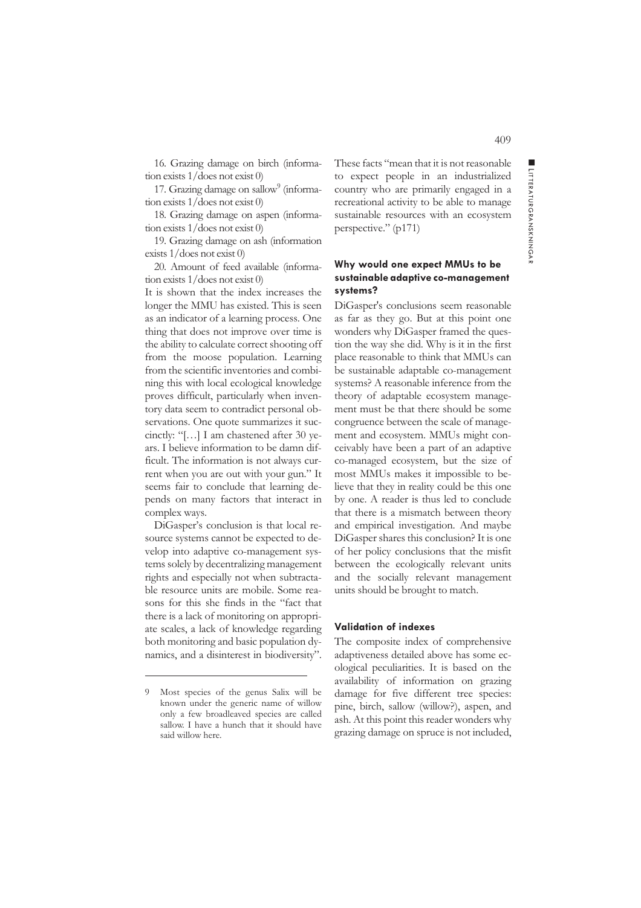16. Grazing damage on birch (information exists 1/does not exist 0)

17. Grazing damage on sallow<sup>9</sup> (information exists 1/does not exist 0)

18. Grazing damage on aspen (information exists 1/does not exist 0)

19. Grazing damage on ash (information exists 1/does not exist 0)

20. Amount of feed available (information exists 1/does not exist 0)

It is shown that the index increases the longer the MMU has existed. This is seen as an indicator of a learning process. One thing that does not improve over time is the ability to calculate correct shooting off from the moose population. Learning from the scientific inventories and combining this with local ecological knowledge proves difficult, particularly when inventory data seem to contradict personal observations. One quote summarizes it succinctly: "[…] I am chastened after 30 years. I believe information to be damn difficult. The information is not always current when you are out with your gun." It seems fair to conclude that learning depends on many factors that interact in complex ways.

DiGasper's conclusion is that local resource systems cannot be expected to develop into adaptive co-management systems solely by decentralizing management rights and especially not when subtractable resource units are mobile. Some reasons for this she finds in the "fact that there is a lack of monitoring on appropriate scales, a lack of knowledge regarding both monitoring and basic population dynamics, and a disinterest in biodiversity".

These facts "mean that it is not reasonable to expect people in an industrialized country who are primarily engaged in a recreational activity to be able to manage sustainable resources with an ecosystem perspective." (p171)

# **Why would one expect MMUs to be sustainable adaptive co-management systems?**

DiGasper's conclusions seem reasonable as far as they go. But at this point one wonders why DiGasper framed the question the way she did. Why is it in the first place reasonable to think that MMUs can be sustainable adaptable co-management systems? A reasonable inference from the theory of adaptable ecosystem management must be that there should be some congruence between the scale of management and ecosystem. MMUs might conceivably have been a part of an adaptive co-managed ecosystem, but the size of most MMUs makes it impossible to believe that they in reality could be this one by one. A reader is thus led to conclude that there is a mismatch between theory and empirical investigation. And maybe DiGasper shares this conclusion? It is one of her policy conclusions that the misfit between the ecologically relevant units and the socially relevant management units should be brought to match.

#### **Validation of indexes**

The composite index of comprehensive adaptiveness detailed above has some ecological peculiarities. It is based on the availability of information on grazing damage for five different tree species: pine, birch, sallow (willow?), aspen, and ash. At this point this reader wonders why grazing damage on spruce is not included, ■ LITTERATU

RGRAN SKNINGA

 $\overline{z}$ 

<sup>9</sup> Most species of the genus Salix will be known under the generic name of willow only a few broadleaved species are called sallow. I have a hunch that it should have said willow here.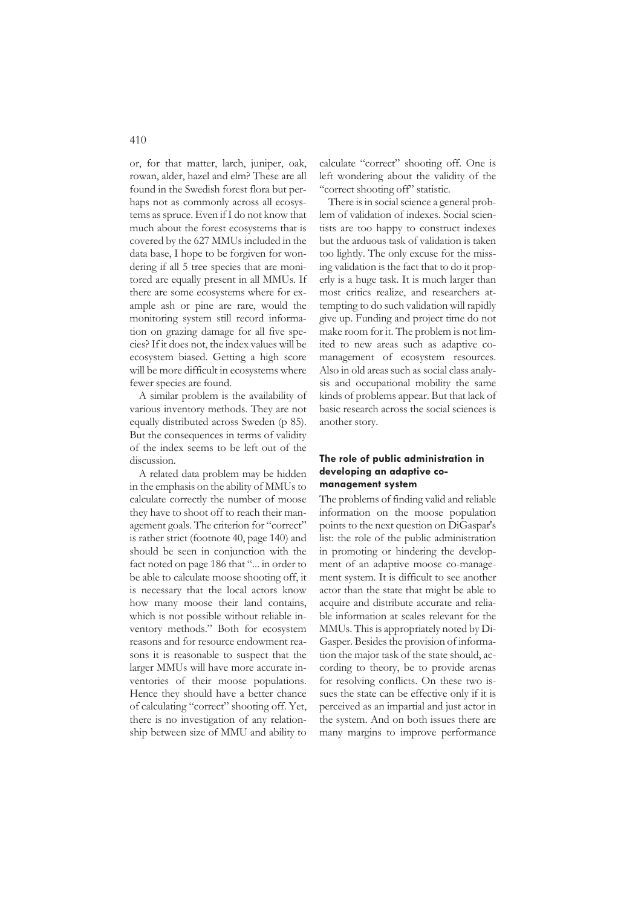or, for that matter, larch, juniper, oak, rowan, alder, hazel and elm? These are all found in the Swedish forest flora but perhaps not as commonly across all ecosystems as spruce. Even if I do not know that much about the forest ecosystems that is covered by the 627 MMUs included in the data base, I hope to be forgiven for wondering if all 5 tree species that are monitored are equally present in all MMUs. If there are some ecosystems where for example ash or pine are rare, would the monitoring system still record information on grazing damage for all five species? If it does not, the index values will be ecosystem biased. Getting a high score will be more difficult in ecosystems where fewer species are found.

A similar problem is the availability of various inventory methods. They are not equally distributed across Sweden (p 85). But the consequences in terms of validity of the index seems to be left out of the discussion.

A related data problem may be hidden in the emphasis on the ability of MMUs to calculate correctly the number of moose they have to shoot off to reach their management goals. The criterion for "correct" is rather strict (footnote 40, page 140) and should be seen in conjunction with the fact noted on page 186 that "... in order to be able to calculate moose shooting off, it is necessary that the local actors know how many moose their land contains, which is not possible without reliable inventory methods." Both for ecosystem reasons and for resource endowment reasons it is reasonable to suspect that the larger MMUs will have more accurate inventories of their moose populations. Hence they should have a better chance of calculating "correct" shooting off. Yet, there is no investigation of any relationship between size of MMU and ability to

calculate "correct" shooting off. One is left wondering about the validity of the "correct shooting off" statistic.

There is in social science a general problem of validation of indexes. Social scientists are too happy to construct indexes but the arduous task of validation is taken too lightly. The only excuse for the missing validation is the fact that to do it properly is a huge task. It is much larger than most critics realize, and researchers attempting to do such validation will rapidly give up. Funding and project time do not make room for it. The problem is not limited to new areas such as adaptive comanagement of ecosystem resources. Also in old areas such as social class analysis and occupational mobility the same kinds of problems appear. But that lack of basic research across the social sciences is another story.

# **The role of public administration in developing an adaptive comanagement system**

The problems of finding valid and reliable information on the moose population points to the next question on DiGaspar's list: the role of the public administration in promoting or hindering the development of an adaptive moose co-management system. It is difficult to see another actor than the state that might be able to acquire and distribute accurate and reliable information at scales relevant for the MMUs. This is appropriately noted by Di-Gasper. Besides the provision of information the major task of the state should, according to theory, be to provide arenas for resolving conflicts. On these two issues the state can be effective only if it is perceived as an impartial and just actor in the system. And on both issues there are many margins to improve performance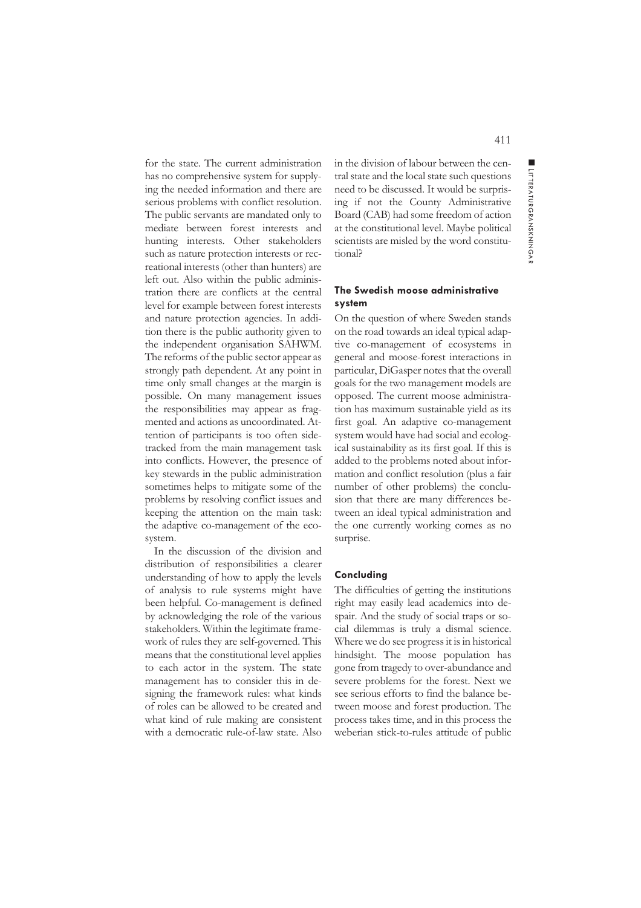$\overline{z}$ 

for the state. The current administration has no comprehensive system for supplying the needed information and there are serious problems with conflict resolution. The public servants are mandated only to mediate between forest interests and hunting interests. Other stakeholders such as nature protection interests or recreational interests (other than hunters) are left out. Also within the public administration there are conflicts at the central level for example between forest interests and nature protection agencies. In addition there is the public authority given to the independent organisation SAHWM. The reforms of the public sector appear as strongly path dependent. At any point in time only small changes at the margin is possible. On many management issues the responsibilities may appear as fragmented and actions as uncoordinated. Attention of participants is too often sidetracked from the main management task into conflicts. However, the presence of key stewards in the public administration sometimes helps to mitigate some of the problems by resolving conflict issues and keeping the attention on the main task: the adaptive co-management of the ecosystem.

In the discussion of the division and distribution of responsibilities a clearer understanding of how to apply the levels of analysis to rule systems might have been helpful. Co-management is defined by acknowledging the role of the various stakeholders. Within the legitimate framework of rules they are self-governed. This means that the constitutional level applies to each actor in the system. The state management has to consider this in designing the framework rules: what kinds of roles can be allowed to be created and what kind of rule making are consistent with a democratic rule-of-law state. Also

in the division of labour between the central state and the local state such questions need to be discussed. It would be surprising if not the County Administrative Board (CAB) had some freedom of action at the constitutional level. Maybe political scientists are misled by the word constitutional?

## **The Swedish moose administrative system**

On the question of where Sweden stands on the road towards an ideal typical adaptive co-management of ecosystems in general and moose-forest interactions in particular, DiGasper notes that the overall goals for the two management models are opposed. The current moose administration has maximum sustainable yield as its first goal. An adaptive co-management system would have had social and ecological sustainability as its first goal. If this is added to the problems noted about information and conflict resolution (plus a fair number of other problems) the conclusion that there are many differences between an ideal typical administration and the one currently working comes as no surprise.

### **Concluding**

The difficulties of getting the institutions right may easily lead academics into despair. And the study of social traps or social dilemmas is truly a dismal science. Where we do see progress it is in historical hindsight. The moose population has gone from tragedy to over-abundance and severe problems for the forest. Next we see serious efforts to find the balance between moose and forest production. The process takes time, and in this process the weberian stick-to-rules attitude of public